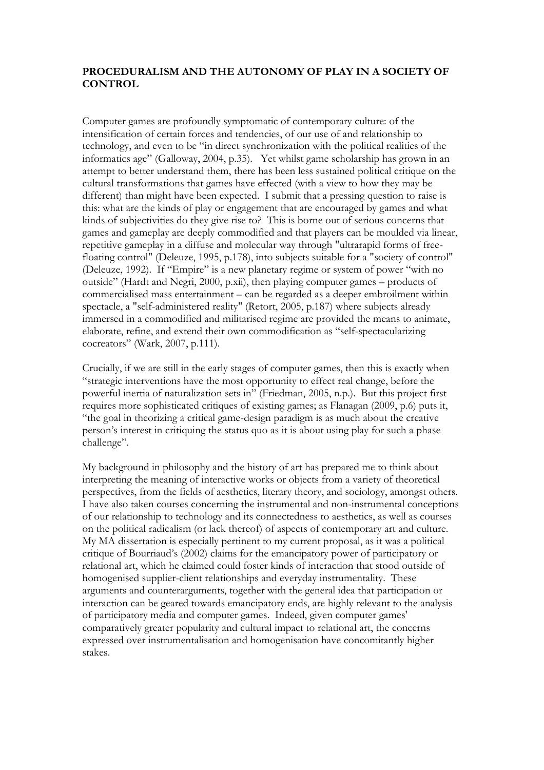## **PROCEDURALISM AND THE AUTONOMY OF PLAY IN A SOCIETY OF CONTROL**

Computer games are profoundly symptomatic of contemporary culture: of the intensification of certain forces and tendencies, of our use of and relationship to technology, and even to be "in direct synchronization with the political realities of the informatics age" (Galloway, 2004, p.35). Yet whilst game scholarship has grown in an attempt to better understand them, there has been less sustained political critique on the cultural transformations that games have effected (with a view to how they may be different) than might have been expected. I submit that a pressing question to raise is this: what are the kinds of play or engagement that are encouraged by games and what kinds of subjectivities do they give rise to? This is borne out of serious concerns that games and gameplay are deeply commodified and that players can be moulded via linear, repetitive gameplay in a diffuse and molecular way through "ultrarapid forms of freefloating control" (Deleuze, 1995, p.178), into subjects suitable for a "society of control" (Deleuze, 1992). If "Empire" is a new planetary regime or system of power "with no outside" (Hardt and Negri, 2000, p.xii), then playing computer games – products of commercialised mass entertainment – can be regarded as a deeper embroilment within spectacle, a "self-administered reality" (Retort, 2005, p.187) where subjects already immersed in a commodified and militarised regime are provided the means to animate, elaborate, refine, and extend their own commodification as "self-spectacularizing cocreators" (Wark, 2007, p.111).

Crucially, if we are still in the early stages of computer games, then this is exactly when "strategic interventions have the most opportunity to effect real change, before the powerful inertia of naturalization sets in" (Friedman, 2005, n.p.). But this project first requires more sophisticated critiques of existing games; as Flanagan (2009, p.6) puts it, "the goal in theorizing a critical game-design paradigm is as much about the creative person's interest in critiquing the status quo as it is about using play for such a phase challenge".

My background in philosophy and the history of art has prepared me to think about interpreting the meaning of interactive works or objects from a variety of theoretical perspectives, from the fields of aesthetics, literary theory, and sociology, amongst others. I have also taken courses concerning the instrumental and non-instrumental conceptions of our relationship to technology and its connectedness to aesthetics, as well as courses on the political radicalism (or lack thereof) of aspects of contemporary art and culture. My MA dissertation is especially pertinent to my current proposal, as it was a political critique of Bourriaud's (2002) claims for the emancipatory power of participatory or relational art, which he claimed could foster kinds of interaction that stood outside of homogenised supplier-client relationships and everyday instrumentality. These arguments and counterarguments, together with the general idea that participation or interaction can be geared towards emancipatory ends, are highly relevant to the analysis of participatory media and computer games. Indeed, given computer games' comparatively greater popularity and cultural impact to relational art, the concerns expressed over instrumentalisation and homogenisation have concomitantly higher stakes.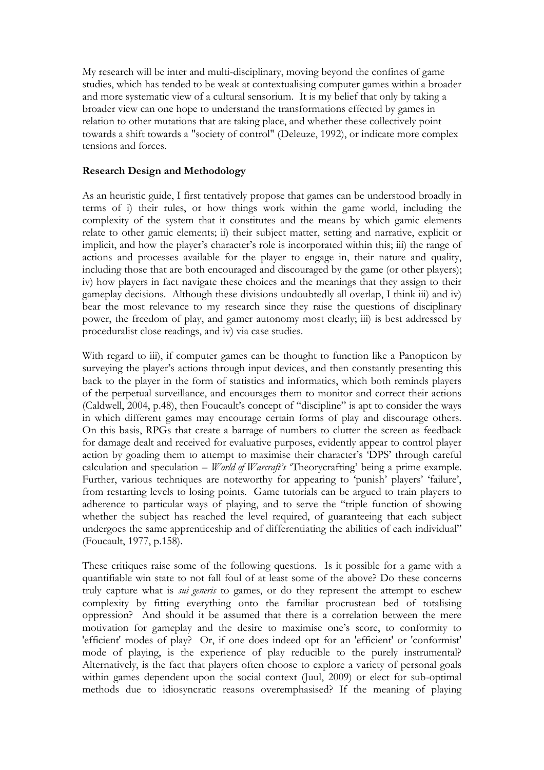My research will be inter and multi-disciplinary, moving beyond the confines of game studies, which has tended to be weak at contextualising computer games within a broader and more systematic view of a cultural sensorium. It is my belief that only by taking a broader view can one hope to understand the transformations effected by games in relation to other mutations that are taking place, and whether these collectively point towards a shift towards a "society of control" (Deleuze, 1992), or indicate more complex tensions and forces.

## **Research Design and Methodology**

As an heuristic guide, I first tentatively propose that games can be understood broadly in terms of i) their rules, or how things work within the game world, including the complexity of the system that it constitutes and the means by which gamic elements relate to other gamic elements; ii) their subject matter, setting and narrative, explicit or implicit, and how the player's character's role is incorporated within this; iii) the range of actions and processes available for the player to engage in, their nature and quality, including those that are both encouraged and discouraged by the game (or other players); iv) how players in fact navigate these choices and the meanings that they assign to their gameplay decisions. Although these divisions undoubtedly all overlap, I think iii) and iv) bear the most relevance to my research since they raise the questions of disciplinary power, the freedom of play, and gamer autonomy most clearly; iii) is best addressed by proceduralist close readings, and iv) via case studies.

With regard to iii), if computer games can be thought to function like a Panopticon by surveying the player's actions through input devices, and then constantly presenting this back to the player in the form of statistics and informatics, which both reminds players of the perpetual surveillance, and encourages them to monitor and correct their actions (Caldwell, 2004, p.48), then Foucault's concept of "discipline" is apt to consider the ways in which different games may encourage certain forms of play and discourage others. On this basis, RPGs that create a barrage of numbers to clutter the screen as feedback for damage dealt and received for evaluative purposes, evidently appear to control player action by goading them to attempt to maximise their character's 'DPS' through careful calculation and speculation – *World of Warcraft's* 'Theorycrafting' being a prime example. Further, various techniques are noteworthy for appearing to 'punish' players' 'failure', from restarting levels to losing points. Game tutorials can be argued to train players to adherence to particular ways of playing, and to serve the "triple function of showing whether the subject has reached the level required, of guaranteeing that each subject undergoes the same apprenticeship and of differentiating the abilities of each individual" (Foucault, 1977, p.158).

These critiques raise some of the following questions. Is it possible for a game with a quantifiable win state to not fall foul of at least some of the above? Do these concerns truly capture what is *sui generis* to games, or do they represent the attempt to eschew complexity by fitting everything onto the familiar procrustean bed of totalising oppression? And should it be assumed that there is a correlation between the mere motivation for gameplay and the desire to maximise one's score, to conformity to 'efficient' modes of play? Or, if one does indeed opt for an 'efficient' or 'conformist' mode of playing, is the experience of play reducible to the purely instrumental? Alternatively, is the fact that players often choose to explore a variety of personal goals within games dependent upon the social context (Juul, 2009) or elect for sub-optimal methods due to idiosyncratic reasons overemphasised? If the meaning of playing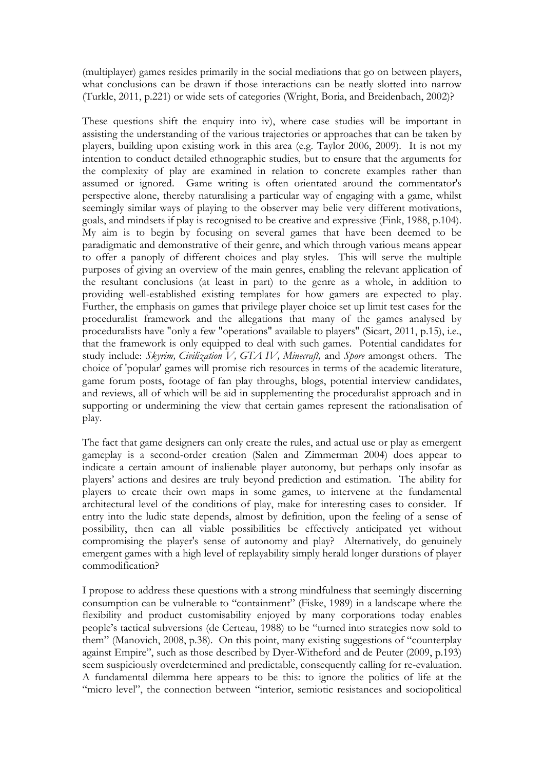(multiplayer) games resides primarily in the social mediations that go on between players, what conclusions can be drawn if those interactions can be neatly slotted into narrow (Turkle, 2011, p.221) or wide sets of categories (Wright, Boria, and Breidenbach, 2002)?

These questions shift the enquiry into iv), where case studies will be important in assisting the understanding of the various trajectories or approaches that can be taken by players, building upon existing work in this area (e.g. Taylor 2006, 2009). It is not my intention to conduct detailed ethnographic studies, but to ensure that the arguments for the complexity of play are examined in relation to concrete examples rather than assumed or ignored. Game writing is often orientated around the commentator's perspective alone, thereby naturalising a particular way of engaging with a game, whilst seemingly similar ways of playing to the observer may belie very different motivations, goals, and mindsets if play is recognised to be creative and expressive (Fink, 1988, p.104). My aim is to begin by focusing on several games that have been deemed to be paradigmatic and demonstrative of their genre, and which through various means appear to offer a panoply of different choices and play styles. This will serve the multiple purposes of giving an overview of the main genres, enabling the relevant application of the resultant conclusions (at least in part) to the genre as a whole, in addition to providing well-established existing templates for how gamers are expected to play. Further, the emphasis on games that privilege player choice set up limit test cases for the proceduralist framework and the allegations that many of the games analysed by proceduralists have "only a few "operations" available to players" (Sicart, 2011, p.15), i.e., that the framework is only equipped to deal with such games. Potential candidates for study include: *Skyrim, Civilization V, GTA IV, Minecraft,* and *Spore* amongst others. The choice of 'popular' games will promise rich resources in terms of the academic literature, game forum posts, footage of fan play throughs, blogs, potential interview candidates, and reviews, all of which will be aid in supplementing the proceduralist approach and in supporting or undermining the view that certain games represent the rationalisation of play.

The fact that game designers can only create the rules, and actual use or play as emergent gameplay is a second-order creation (Salen and Zimmerman 2004) does appear to indicate a certain amount of inalienable player autonomy, but perhaps only insofar as players' actions and desires are truly beyond prediction and estimation. The ability for players to create their own maps in some games, to intervene at the fundamental architectural level of the conditions of play, make for interesting cases to consider. If entry into the ludic state depends, almost by definition, upon the feeling of a sense of possibility, then can all viable possibilities be effectively anticipated yet without compromising the player's sense of autonomy and play? Alternatively, do genuinely emergent games with a high level of replayability simply herald longer durations of player commodification?

I propose to address these questions with a strong mindfulness that seemingly discerning consumption can be vulnerable to "containment" (Fiske, 1989) in a landscape where the flexibility and product customisability enjoyed by many corporations today enables people's tactical subversions (de Certeau, 1988) to be "turned into strategies now sold to them" (Manovich, 2008, p.38). On this point, many existing suggestions of "counterplay against Empire", such as those described by Dyer-Witheford and de Peuter (2009, p.193) seem suspiciously overdetermined and predictable, consequently calling for re-evaluation. A fundamental dilemma here appears to be this: to ignore the politics of life at the "micro level", the connection between "interior, semiotic resistances and sociopolitical